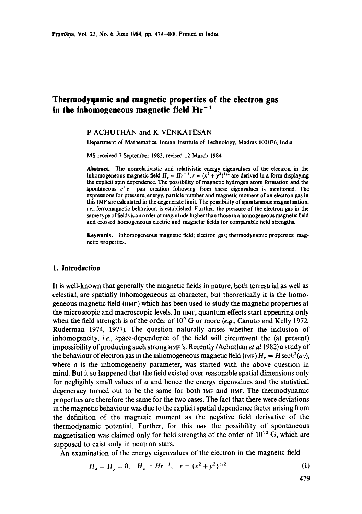# **Thermodyqamic and magnetic properties of the electron gas in the inhomogeneous magnetic field Hr-1**

### P ACHUTHAN and K VENKATESAN

Department of Mathematics, Indian Institute of Technology, Madras 600 036, India

MS received 7 September 1983; revised 12 March 1984

**Abstract.** The nonrelativistic and relativistic energy eigenvalues of the electron in **the**  inhomogeneous magnetic field  $H<sub>z</sub> = Hr<sup>-1</sup>$ ,  $r = (x<sup>2</sup> + y<sup>2</sup>)<sup>1/2</sup>$  are derived in a form displaying the explicit spin dependence. The possibility of magnetic hydrogen atom formation and the spontaneous  $e^+e^-$  pair creation following from these eigenvalues is mentioned. The expressions for pressure, energy, particle number and magnetic moment of an electron gas in this IMF are calculated in the degenerate limit. The possibility of spontaneous magnetisation, i.e., ferromagnetic behaviour, is established. Further, the pressure of the electron gas in the same type of fields is an order of magnitude higher than those in a homogeneous magnetic field and crossed homogeneous electric and magnetic fields for comparable field strengths.

Keywords. Inhomogeneous magnetic field; electron gas; thermodynamic properties; magnetic properties.

#### **1. Introduction**

It is well-known that generally the magnetic fields in nature, both terrestrial as well as celestial, are spatially inhomogeneous in character, but theoretically it is the homogeneous magnetic field (nMF) which has been used to study the magnetic properties at the microscopic and macroscopic levels. In nMF, quantum effects start appearing only when the field strength is of the order of  $10^9$  G or more (e.g., Canuto and Kelly 1972; Ruderman 1974, 1977). The question naturally arises whether the inclusion of inhomogeneity, *i.e.,* space-dependence of the field will circumvent the (at present) impossibility of producing such strong  $H$ <sub>MF</sub>'s. Recently (Achuthan *et al* 1982) a study of the behaviour of electron gas in the inhomogeneous magnetic field  $(\text{Im} F) H<sub>z</sub> = H \text{sech}^2(ay)$ , where  $a$  is the inhomogeneity parameter, was started with the above question in mind. But it so happened that the field existed over reasonable spatial dimensions only for negligibly small values of  $a$  and hence the energy eigenvalues and the statistical degeneracy turned out to be the same for both 1MF and HMV. The thermodynamic properties are therefore the same for the two cases. The fact that there were deviations in the magnetic behaviour was due to the explicit spatial dependence factor arising from the definition of the magnetic moment as the negative field derivative of the thermodynamic potential. Further, for this Iur the possibility of spontaneous magnetisation was claimed only for field strengths of the order of  $10^{12}$  G, which are supposed to exist only in neutron stars.

An examination of the energy eigenvalues of the electron in the magnetic field

$$
H_x = H_y = 0, \quad H_z = Hr^{-1}, \quad r = (x^2 + y^2)^{1/2} \tag{1}
$$

479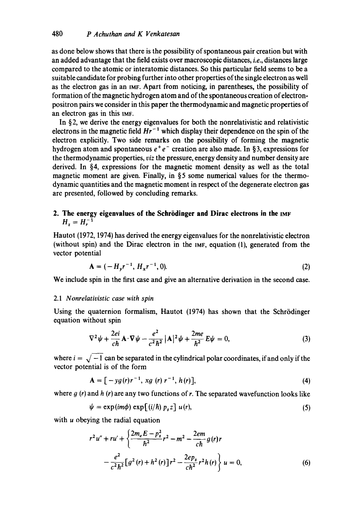as done below shows that there is the possibility of spontaneous pair creation but with an added advantage that the field exists over macroscopic distances, *i.e.,* distances large compared to the atomic or interatomic distances. So this particular field seems to be a suitable candidate for probing further into other properties of the single electron as well as the electron gas in an IMF. Apart from noticing, in parentheses, the possibility of formation of the magnetic hydrogen atom and of the spontaneous creation of electronpositron pairs we consider in this paper the thermodynamic and magnetic properties of an electron gas in this IMF.

In §2, we derive the energy eigenvalues for both the nonrelativistic and relativistic electrons in the magnetic field  $Hr^{-1}$  which display their dependence on the spin of the electron explicitly. Two side remarks on the possibility of forming the magnetic hydrogen atom and spontaneous  $e^+e^-$  creation are also made. In §3, expressions for the thermodynamic properties, *viz* the pressure, energy density and number density are derived. In §4, expressions for the magnetic moment density as well as the total magnetic moment are given. Finally, in §5 some numerical values for the thermodynamic quantities and the magnetic moment in respect of the degenerate electron gas are presented, followed by concluding remarks.

## **2. The energy eigenvalues of the Schr6dinger and Dirac electrons in the** IMF  $H_{r} = H_{r}^{-1}$

Hautot (1972, 1974) has derived the energy eigenvalues for the nonrelativistic electron (without spin) and the Dirac electron in the IMF, equation (1), generated from the vector potential

$$
\mathbf{A} = (-H_{v}r^{-1}, H_{x}r^{-1}, 0). \tag{2}
$$

We include spin in the first case and give an alternative derivation in the second case.

#### 2.1 *Nonrelativistic case with spin*

Using the quaternion formalism, Hautot (1974) has shown that the Schrödinger equation without spin

$$
\nabla^2 \psi + \frac{2ei}{c\hbar} \mathbf{A} \cdot \nabla \psi - \frac{e^2}{c^2 \hbar^2} |\mathbf{A}|^2 \psi + \frac{2me}{\hbar^2} E \psi = 0, \tag{3}
$$

where  $i = \sqrt{-1}$  can be separated in the cylindrical polar coordinates, if and only if the vector potential is of the form

$$
\mathbf{A} = [-yg(r)r^{-1}, xg(r)r^{-1}, h(r)], \qquad (4)
$$

where  $g(r)$  and h (r) are any two functions of r. The separated wavefunction looks like

$$
\psi = \exp(im\phi) \exp[(i/\hbar) p_z z] u(r), \qquad (5)
$$

with u obeying the radial equation

$$
r^{2}u'' + ru' + \left\{\frac{2m_{e}E - p_{z}^{2}}{\hbar^{2}}r^{2} - m^{2} - \frac{2em}{ch}g(r)r - \frac{e^{2}}{c^{2}\hbar^{2}}[g^{2}(r) + h^{2}(r)]r^{2} - \frac{2ep_{z}}{ch^{2}}r^{2}h(r)\right\}u = 0,
$$
\n(6)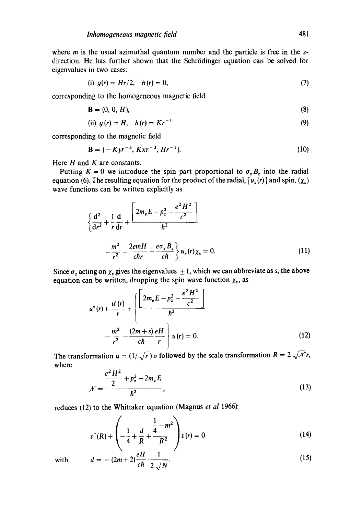where  $m$  is the usual azimuthal quantum number and the particle is free in the  $z$ direction. He has further shown that the Schrödinger equation can be solved for eigenvalues in two cases:

(i) 
$$
g(r) = Hr/2
$$
,  $h(r) = 0$ , (7)

corresponding to the homogeneous magnetic field

$$
\mathbf{B} = (0, 0, H), \tag{8}
$$

(ii) 
$$
g(r) = H
$$
,  $h(r) = Kr^{-1}$  (9)

corresponding to the magnetic field

$$
\mathbf{B} = (-Kyr^{-3}, Kxr^{-3}, Hr^{-1}). \tag{10}
$$

Here  $H$  and  $K$  are constants.

Putting  $K = 0$  we introduce the spin part proportional to  $\sigma_z B_z$  into the radial equation (6). The resulting equation for the product of the radial,  $[u_s(r)]$  and spin,  $(\chi_s)$ wave functions can be written explicitly as

$$
\left\{\frac{d^2}{dr^2} + \frac{1}{r}\frac{d}{dr} + \frac{\left[2m_eE - p_z^2 - \frac{e^2H^2}{c^2}\right]}{\hbar^2} - \frac{m^2}{r^2} - \frac{2emH}{chr} - \frac{e\sigma_zB_z}{c\hbar}\right\}u_s(r)\chi_s = 0.
$$
\n(11)

Since  $\sigma_z$  acting on  $\chi_s$  gives the eigenvalues  $\pm 1$ , which we can abbreviate as s, the above equation can be written, dropping the spin wave function  $\chi_s$ , as

$$
u''(r) + \frac{u'(r)}{r} + \left\{ \frac{\left[2m_e E - p_z^2 - \frac{e^2 H^2}{c^2}\right]}{\hbar^2} + \frac{m^2}{r^2} - \frac{(2m+s)eH}{ch} \right\} u(r) = 0.
$$
 (12)

The transformation  $u = (1/\sqrt{r}) v$  followed by the scale transformation  $R = 2\sqrt{\mathcal{N}}r$ , where

$$
\mathcal{N} = \frac{\frac{e^2 H^2}{2} + p_z^2 - 2m_e E}{\hbar^2},
$$
\n(13)

reduces (12) to the Whittaker equation (Magnus *et al* 1966):

$$
v''(R) + \left(-\frac{1}{4} + \frac{d}{R} + \frac{\frac{1}{4} - m^2}{R^2}\right)v(r) = 0
$$
 (14)

with 
$$
d = -(2m+2)\frac{eH}{ch} \cdot \frac{1}{2\sqrt{N}}.
$$
 (15)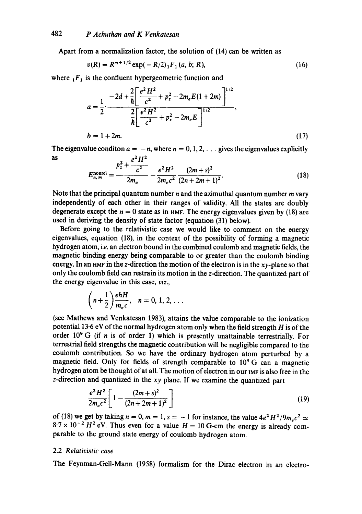Apart from a normalization factor, the solution of (14) can be written as

$$
v(R) = R^{m+1/2} \exp(-R/2)_1 F_1(a, b; R), \tag{16}
$$

where  $E_1$  is the confluent hypergeometric function and

$$
a = \frac{1}{2} \cdot \frac{-2d + \frac{2}{h} \left[ \frac{e^2 H^2}{c^2} + p_z^2 - 2m_e E (1 + 2m) \right]^{1/2}}{\frac{2}{h} \left[ \frac{e^2 H^2}{c^2} + p_z^2 - 2m_e E \right]^{1/2}},
$$
  

$$
b = 1 + 2m.
$$
 (17)

The eigenvalue condition  $a = -n$ , where  $n = 0, 1, 2, \ldots$  gives the eigenvalues explicitly as  $e^2 H^2$ 

$$
E_{n,m}^{\text{nonrel}} = \frac{p_z^2 + \frac{p_z^2}{c^2}}{2m_e} - \frac{e^2 H^2}{2m_e c^2} \frac{(2m+s)^2}{(2n+2m+1)^2}.
$$
 (18)

Note that the principal quantum number  $n$  and the azimuthal quantum number  $m$  vary independently of each other in their ranges of validity. All the states are doubly degenerate except the  $n = 0$  state as in HMF. The energy eigenvalues given by (18) are used in deriving the density of state factor (equation (31) below).

Before going to the relativistic case we would like to comment on the energy eigenvalues, equation (18), in the context of the possibility of forming a magnetic hydrogen atom, *i.e.* an electron bound in the combined coulomb and magnetic fields, the magnetic binding energy being comparable to or greater than the coulomb binding energy. In an HMF in the z-direction the motion of the electron is in the  $xy$ -plane so that only the coulomb field can restrain its motion in the z-direction. The quantized part of the energy eigenvalue in this case, *viz.,* 

$$
\left(n+\frac{1}{2}\right)\frac{e\hbar H}{m_ec},\quad n=0,\,1,\,2,\,\ldots
$$

(see Mathews and Venkatesan 1983), attains the value comparable to the ionization potential 13-6 eV of the normal hydrogen atom only when the field strength  $H$  is of the order  $10^9$  G (if n is of order 1) which is presently unattainable terrestrially. For terrestrial field strengths the magnetic contribution will be negligible compared to the coulomb contribution. So we have the ordinary hydrogen atom perturbed by a magnetic field. Only for fields of strength comparable to  $10^9$  G can a magnetic hydrogen atom be thought of at all. The motion of electron in our IMF is also free in the z-direction and quantized in the *xy* plane. If we examine the quantized part

$$
\frac{e^2H^2}{2m_ec^2}\left[1-\frac{(2m+s)^2}{(2n+2m+1)^2}\right]
$$
\n(19)

of (18) we get by taking  $n = 0$ ,  $m = 1$ ,  $s = -1$  for instance, the value  $4e^2H^2/9m_ec^2 \simeq$  $8.7 \times 10^{-2}$  H<sup>2</sup> eV. Thus even for a value  $H = 10$  G-cm the energy is already comparable to the ground state energy of coulomb hydrogen atom.

#### 2.2 *Relativistic case*

The Feynman-Gell-Mann (1958) formalism for the Dirac electron in an electro-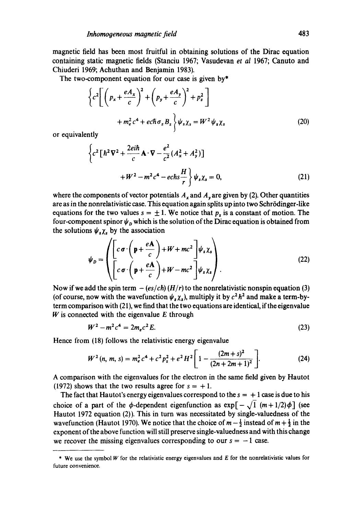magnetic field has been most fruitful in obtaining solutions of the Dirac equation containing static magnetic fields (Stanciu 1967; Vasudevan *et al* 1967; Canuto and Chiuderi 1969; Achuthan and Benjamin 1983).

The two-component equation for our case is given by\*

$$
\left\{c^2\left[\left(p_x + \frac{eA_x}{c}\right)^2 + \left(p_y + \frac{eA_y}{c}\right)^2 + p_z^2\right] + m_e^2 c^4 + e c \hbar \sigma_z B_z\right\}\psi_s \chi_s = W^2 \psi_s \chi_s
$$
\n(20)

or equivalently

$$
\left\{c^2\left[\hbar^2\nabla^2+\frac{2ei\hbar}{c}\mathbf{A}\cdot\nabla-\frac{e^2}{c^2}(A_x^2+A_y^2)\right]\right\}
$$

$$
+W^2-m^2c^4-echs\frac{H}{r}\left\}\psi_s\chi_s=0,
$$
 (21)

where the components of vector potentials  $A_x$  and  $A_y$  are given by (2). Other quantities are as in the nonrelativistic case. This equation again splits up into two Schrödinger-like equations for the two values  $s = \pm 1$ . We notice that  $p_z$  is a constant of motion. The four-component spinor  $\psi_D$  which is the solution of the Dirac equation is obtained from the solutions  $\psi_s \chi_s$  by the association

$$
\psi_D = \left( \begin{bmatrix} c \sigma \cdot \left( \mathbf{p} + \frac{e \mathbf{A}}{c} \right) + W + mc^2 \\ \left[ c \sigma \cdot \left( \mathbf{p} + \frac{e \mathbf{A}}{c} \right) + W - mc^2 \right] \psi_s \chi_s \end{bmatrix} \right). \tag{22}
$$

Now if we add the spin term  $-(es/ch) (H/r)$  to the nonrelativistic nonspin equation (3) (of course, now with the wavefunction  $\psi_s \chi_s$ ), multiply it by  $c^2 \hbar^2$  and make a term-byterm comparison with (21), we find that the two equations are identical, if the eigenvalue  $W$  is connected with the eigenvalue  $E$  through

$$
W^2 - m^2 c^4 = 2m_e c^2 E.
$$
 (23)

Hence from (18) follows the relativistic energy eigenvalue

$$
W^{2}(n, m, s) = m_{e}^{2} c^{4} + c^{2} p_{z}^{2} + e^{2} H^{2} \left[ 1 - \frac{(2m + s)^{2}}{(2n + 2m + 1)^{2}} \right].
$$
 (24)

A comparison with the eigenvalues for the electron in the same field given by Hautot (1972) shows that the two results agree for  $s = +1$ .

The fact that Hautot's energy eigenvalues correspond to the  $s = +1$  case is due to his choice of a part of the  $\phi$ -dependent eigenfunction as  $\exp[-\sqrt{1} (m+1/2)\phi]$  (see Hautot 1972 equation (2)). This in turn was necessitated by single-valuedness of the wavefunction (Hautot 1970). We notice that the choice of  $m - \frac{1}{2}$  instead of  $m + \frac{1}{2}$  in the exponent of the above function will still preserve single-valuedness and with this change we recover the missing eigenvalues corresponding to our  $s = -1$  case.

<sup>\*</sup> We use the symbol  $W$  for the relativistic energy eigenvalues and  $E$  for the nonrelativistic values for future convenience.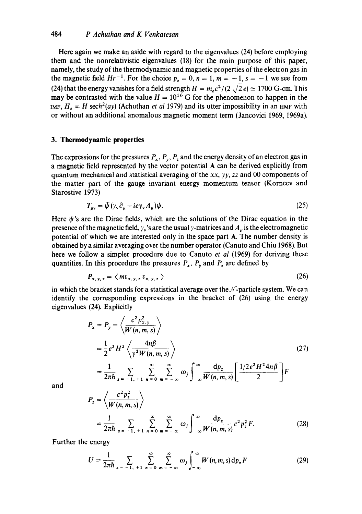Here again we make an aside with regard to the eigenvalues (24) before employing them and the nonrelativistic eigenvalues (18) for the main purpose of this paper, namely, the study of the thermodynamic and magnetic properties of the electron gas in the magnetic field  $Hr^{-1}$ . For the choice  $p_z = 0$ ,  $n = 1$ ,  $m = -1$ ,  $s = -1$  we see from (24) that the energy vanishes for a field strength  $H = m_e c^2/(2 \sqrt{2} e) \simeq 1700$  G-cm. This may be contrasted with the value  $H = 10^{16}$  G for the phenomenon to happen in the *lMF,*  $H_z = H$  *sech<sup>2</sup>(ay)* (Achuthan *et al 1979)* and its utter impossibility in an HMF with or without an additional anomalous magnetic moment term (Jancovici 1969, 1969a).

#### **3. Thermodynamic properties**

The expressions for the pressures  $P_x$ ,  $P_y$ ,  $P_z$  and the energy density of an electron gas in a magnetic field represented by the vector potential A can be derived explicitly from quantum mechanical and statistical averaging of the *xx, yy, zz* and 00 components of the matter part of the gauge invariant energy momentum tensor (Korneev and Starostive 1973)

$$
T_{\mu\nu} = \bar{\psi} \left( \gamma_{\nu} \partial_{\mu} - i e \gamma_{\nu} A_{\mu} \right) \psi. \tag{25}
$$

Here  $\psi$ 's are the Dirac fields, which are the solutions of the Dirac equation in the presence of the magnetic field,  $y<sub>x</sub>$ 's are the usual y-matrices and  $A<sub>u</sub>$  is the electromagnetic potential of which we are interested only in the space part A. The number density is obtained by a similar averaging over the number operator (Canuto and Chiu 1968). But here we follow a simpler procedure due to Canuto *et al* (1969) for deriving these quantities. In this procedure the pressures  $P_x$ ,  $P_y$  and  $P_z$  are defined by

$$
P_{x, y, z} = \langle m v_{x, y, z} v_{x, y, z} \rangle \tag{26}
$$

in which the bracket stands for a statistical average over the  $\mathcal{N}$ -particle system. We can identify the corresponding expressions in the bracket of (26) using the energy eigenvalues (24). Explicitly

$$
P_x = P_y = \left\langle \frac{c^2 p_{x,y}^2}{W(n, m, s)} \right\rangle
$$
  
=  $\frac{1}{2} e^2 H^2 \left\langle \frac{4n\beta}{\gamma^2 W(n, m, s)} \right\rangle$  (27)  
=  $\frac{1}{2\pi\hbar} \sum_{s=-1, +1}^{\infty} \sum_{n=0}^{\infty} \sum_{m=-\infty}^{\infty} \omega_j \int_{-\infty}^{\infty} \frac{dp_z}{W(n, m, s)} \left[ \frac{1/2e^2 H^2 4n\beta}{2} \right] F$ 

and

$$
P_z = \left\langle \frac{c^2 p_z^2}{W(n, m, s)} \right\rangle
$$
  
=  $\frac{1}{2\pi\hbar} \sum_{s = -1, +1}^{\infty} \sum_{n = 0}^{\infty} \sum_{m = -\infty}^{\infty} \omega_j \int_{-\infty}^{\infty} \frac{dp_z}{W(n, m, s)} c^2 p_z^2 F.$  (28)

Further the energy

$$
U = \frac{1}{2\pi\hbar} \sum_{s = -1, +1}^{\infty} \sum_{n=0}^{\infty} \sum_{m=-\infty}^{\infty} \omega_j \int_{-\infty}^{\infty} W(n, m, s) dp_z F
$$
 (29)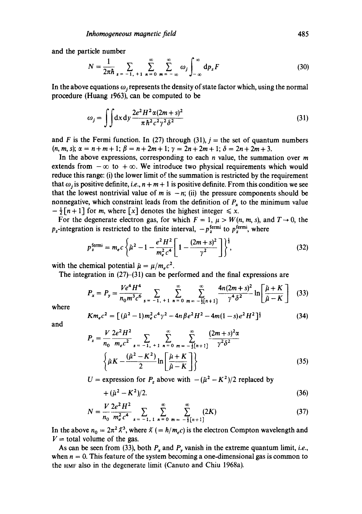and the particle number

$$
N = \frac{1}{2\pi\hbar} \sum_{s = -1, +1}^{\infty} \sum_{n = 0}^{\infty} \sum_{m = -\infty}^{\infty} \omega_j \int_{-\infty}^{\infty} dp_z F
$$
 (30)

In the above equations  $\omega_j$  represents the density of state factor which, using the normal procedure (Huang  $t\frac{963}{1}$ , can be computed to be

$$
\omega_j = \int \int dx \, dy \, \frac{2e^2 H^2 \alpha (2m+s)^2}{\pi \hbar^2 c^2 \gamma^2 \delta^2} \tag{31}
$$

and F is the Fermi function. In (27) through (31),  $j =$  the set of quantum numbers  $(n, m, s); \alpha = n + m + 1; \beta = n + 2m + 1; \gamma = 2n + 2m + 1; \delta = 2n + 2m + 3.$ 

In the above expressions, corresponding to each  $n$  value, the summation over  $m$ extends from  $-\infty$  to  $+\infty$ . We introduce two physical requirements which would reduce this range: (i) the lower limit of the summation is restricted by the requirement that  $\omega_i$  is positive definite, *i.e.*,  $n + m + 1$  is positive definite. From this condition we see that the lowest nontrivial value of m is  $-n$ ; (ii) the pressure components should be nonnegative, which constraint leads from the definition of  $P_x$  to the minimum value  $-\frac{1}{2}[n+1]$  for *m*, where [x] denotes the highest integer  $\leq x$ .

For the degenerate electron gas, for which  $F = 1$ ,  $\mu > W(n, m, s)$ , and  $T \rightarrow 0$ , the  $p_z$ -integration is restricted to the finite interval,  $-p_z^{\text{fermi}}$  to  $p_z^{\text{fermi}}$ , where

$$
p_z^{\text{fermi}} = m_e c \left\{ \tilde{\mu}^2 - 1 - \frac{e^2 H^2}{m_e^2 c^4} \left[ 1 - \frac{(2m + s)^2}{\gamma^2} \right] \right\}^{\frac{1}{2}},\tag{32}
$$

with the chemical potential  $\tilde{\mu} = \mu/m_e c^2$ .

The integration in  $(27)$ – $(31)$  can be performed and the final expressions are

$$
P_x = P_y = \frac{Ve^4 H^4}{n_0 m^3 c^6} \sum_{s = -1, +1}^{\infty} \sum_{n=0}^{\infty} \sum_{m=-\frac{1}{2}[n+1]}^{\infty} \frac{4n(2m+s)^2}{\gamma^4 \delta^2} \ln\left[\frac{\tilde{\mu}+K}{\tilde{\mu}-K}\right] \quad (33)
$$

where

$$
Km_ec^2 = \left[ (\tilde{\mu}^2 - 1)m_e^2 c^4 \gamma^2 - 4n\beta e^2 H^2 - 4m(1-s)e^2 H^2 \right]^{\frac{1}{2}}
$$
(34)

and

$$
P_z = \frac{V}{n_0} \frac{2e^2H^2}{m_e c^2} \sum_{s = -1, +1}^{\infty} \sum_{n=0}^{\infty} \sum_{m=-\frac{1}{2}[n+1]}^{\infty} \frac{(2m+s)^2 \alpha}{\gamma^2 \delta^2}
$$

$$
\left\{\tilde{\mu}K - \frac{(\tilde{\mu}^2 - K^2)}{2} \ln \left[\frac{\tilde{\mu} + K}{\tilde{\mu} - K}\right]\right\}
$$
(35)

 $U =$  expression for  $P_z$  above with  $-(\tilde{\mu}^2 - K^2)/2$  replaced by

$$
+(\tilde{\mu}^2 - K^2)/2.
$$
 (36)

$$
N = \frac{V}{n_0} \frac{2e^2 H^2}{m_e^2 c^4} \sum_{s = -1, 1}^{\infty} \sum_{n=0}^{\infty} \sum_{m=-\frac{1}{2}[n+1]}^{\infty} (2K)
$$
 (37)

In the above  $n_0 = 2\pi^2 \lambda^3$ , where  $\lambda = \hbar/m_e c$  is the electron Compton wavelength and  $V =$  total volume of the gas.

As can be seen from (33), both  $P_x$  and  $P_y$  vanish in the extreme quantum limit, *i.e.*, when  $n = 0$ . This feature of the system becoming a one-dimensional gas is common to the HMF also in the degenerate limit (Canuto and Chiu 1968a).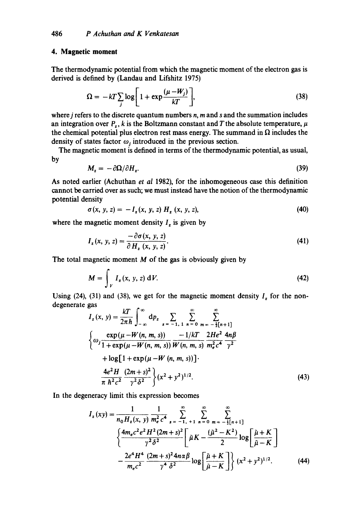#### **4. Magnetic moment**

The thermodynamic potential from which the magnetic moment of the electron gas is derived is defined by (Landau and Lifshitz 1975)

$$
\Omega = -kT \sum_{j} \log \left[ 1 + \exp \frac{(\mu - W_j)}{kT} \right],
$$
\n(38)

where  $j$  refers to the discrete quantum numbers  $n$ ,  $m$  and  $s$  and the summation includes an integration over  $P_z$ , k is the Boltzmann constant and T the absolute temperature,  $\mu$ the chemical potential plus electron rest mass energy. The summand in  $\Omega$  includes the density of states factor  $\omega_i$  introduced in the previous section.

The magnetic moment is defined in terms of the thermodynamic potential, as usual, by

$$
M_z = -\partial \Omega / \partial H_z. \tag{39}
$$

As noted earlier (Achuthan *et al* 1982), for the inhomogeneous case this definition cannot be carried over as such; we must instead have the notion of the thermodynamic potential density

$$
\sigma(x, y, z) = -I_z(x, y, z) H_z(x, y, z), \qquad (40)
$$

where the magnetic moment density  $I_z$  is given by

$$
I_{z}(x, y, z) = \frac{-\partial \sigma(x, y, z)}{\partial H_{z}(x, y, z)}.
$$
\n(41)

The total magnetic moment  $M$  of the gas is obviously given by

$$
M = \int_{V} I_{z}(x, y, z) dV.
$$
 (42)

Using (24), (31) and (38), we get for the magnetic moment density  $I_z$  for the nondegenerate gas  $\mathbf{r}$ 

$$
I_{z}(x, y) = \frac{kT}{2\pi\hbar} \int_{-\infty}^{\infty} dp_{z} \sum_{s=-1, 1}^{\infty} \sum_{n=0}^{\infty} \sum_{m=-\frac{1}{2}[n+1]}^{\infty} dp_{z} \frac{\exp(\mu - W(n, m, s)) - 1/kT}{1 + \exp(\mu - W(n, m, s))} \frac{-1/kT}{W(n, m, s)} \frac{2He^{2}}{m_{e}^{2}c^{4}} \frac{4n\beta}{\gamma^{2}} + \log[1 + \exp(\mu - W(n, m, s))].
$$
  

$$
\frac{4e^{2}H}{\pi \hbar^{2}c^{2}} \frac{(2m + s)^{2}}{\gamma^{2} \delta^{2}} \Big\} (x^{2} + y^{2})^{1/2}.
$$
 (43)

In the degeneracy limit this expression becomes

$$
I_{z}(xy) = \frac{1}{n_{0}H_{z}(x, y)} \frac{1}{m_{e}^{2} c^{4}} \sum_{s=-1, +1}^{\infty} \sum_{n=0}^{\infty} \sum_{m=-\frac{1}{2}[n+1]}^{\infty} \frac{1}{\hat{\mu}K}
$$

$$
\left\{ \frac{4m_{e}c^{2}e^{2}H^{2}(2m+s)^{2}}{\gamma^{2}\delta^{2}} \left[ \tilde{\mu}K - \frac{(\tilde{\mu}^{2} - K^{2})}{2} \log \left[ \frac{\tilde{\mu} + K}{\tilde{\mu} - K} \right] \right. \right.
$$

$$
- \frac{2e^{4}H^{4}}{m_{e}c^{2}} \frac{(2m+s)^{2}4n\alpha\beta}{\gamma^{4}\delta^{2}} \log \left[ \frac{\tilde{\mu} + K}{\tilde{\mu} - K} \right] \left\{ (x^{2} + y^{2})^{1/2} \right. \tag{44}
$$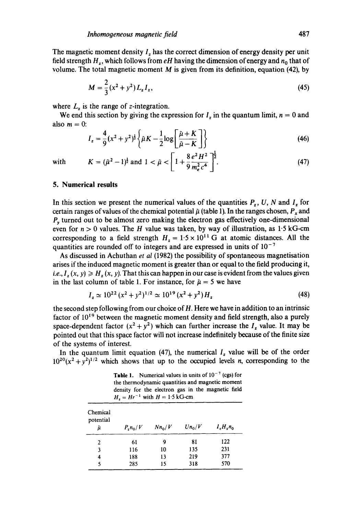The magnetic moment density  $I<sub>r</sub>$ , has the correct dimension of energy density per unit field strength  $H_z$ , which follows from  $eH$  having the dimension of energy and  $n_0$  that of volume. The total magnetic moment  $M$  is given from its definition, equation (42), by

$$
M = \frac{2}{3}(x^2 + y^2)L_zI_z,
$$
\n(45)

where  $L_z$  is the range of z-integration.

We end this section by giving the expression for  $I_z$  in the quantum limit,  $n = 0$  and also  $m = 0$ :

$$
I_z = \frac{4}{9}(x^2 + y^2)^{\frac{1}{2}} \left\{ \tilde{\mu}K - \frac{1}{2} \log \left[ \frac{\tilde{\mu} + K}{\tilde{\mu} - K} \right] \right\}
$$
(46)

# with  $K = (\hat{\mu}^2 - 1)^{\frac{1}{2}}$  and  $1 < \hat{\mu} < \left[1 + \frac{1}{9} \frac{1}{m_e^2 c^4}\right]$ . (47)

#### **5. Numerical results**

In this section we present the numerical values of the quantities  $P_z$ , U, N and  $I_z$  for certain ranges of values of the chemical potential  $\tilde{\mu}$  (table 1). In the ranges chosen,  $P_x$  and  $P<sub>v</sub>$  turned out to be almost zero making the electron gas effectively one-dimensional even for  $n > 0$  values. The H value was taken, by way of illustration, as 1.5 kG-cm corresponding to a field strength  $H_z = 1.5 \times 10^{11}$  G at atomic distances. All the quantities are rounded off to integers and are expressed in units of  $10^{-7}$ 

As discussed in Achuthan *et al* (1982) the possibility of spontaneous magnetisation arises if the induced magnetic moment is greater than or equal to the field producing it, *i.e., I<sub>r</sub>* (x, y)  $\geq H_r(x, y)$ . That this can happen in our case is evident from the values given in the last column of table 1. For instance, for  $\tilde{\mu} = 5$  we have

$$
I_z \simeq 10^{22} (x^2 + y^2)^{1/2} \simeq 10^{19} (x^2 + y^2) H_z
$$
\n(48)

the second step following from our choice of H. Here we have in addition to an intrinsic factor of  $10^{19}$  between the magnetic moment density and field strength, also a purely space-dependent factor  $(x^2 + y^2)$  which can further increase the  $I_z$  value. It may be pointed out that this space factor will not increase indefinitely because of the finite size of the systems of interest.

In the quantum limit equation (47), the numerical  $I_z$  value will be of the order  $10^{20}(x^2 + y^2)^{1/2}$  which shows that up to the occupied levels *n*, corresponding to the

**Table 1.** Numerical values in units of  $10^{-7}$  (cgs) for the thermodynamic quantities and magnetic moment density for the electron gas in the magnetic field  $H_z = Hr^{-1}$  with  $H = 1.5$  kG-cm

| Chemical<br>potential<br>й | $P_{\rm z}n_{\rm 0}/V$ | $Nn_0/V$ | $Un_0/V$ | $I, H, n_0$ |
|----------------------------|------------------------|----------|----------|-------------|
| 2                          | 61                     | 9        | 81       | 122         |
| 3                          | 116                    | 10       | 135      | 231         |
| 4                          | 188                    | 13       | 219      | 377         |
| 5                          | 285                    | 15       | 318      | 570         |